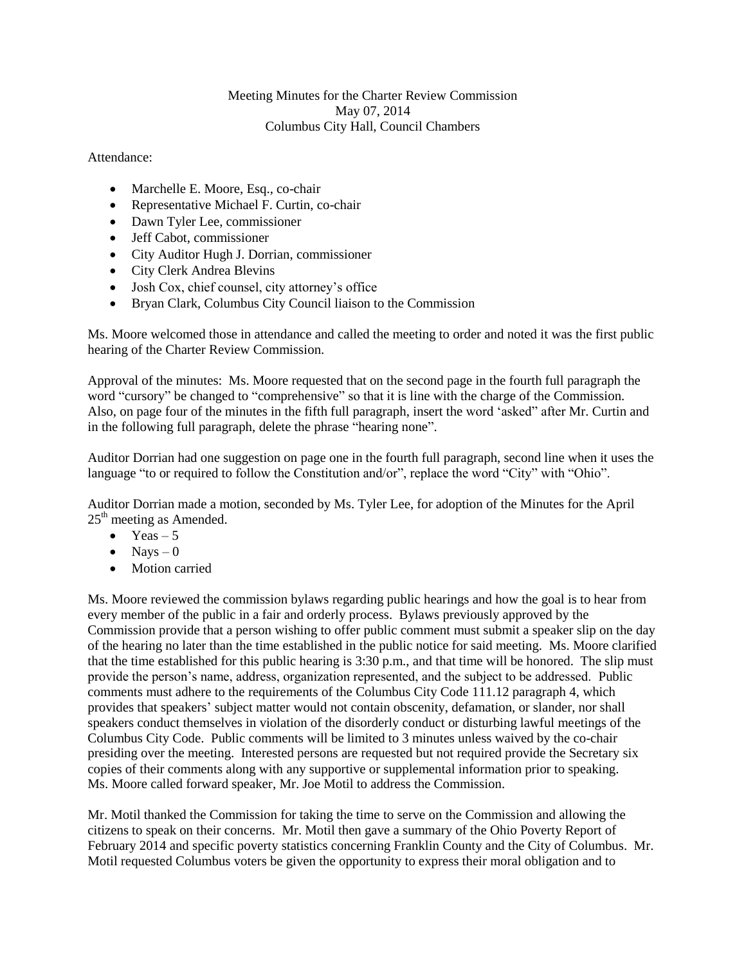## Meeting Minutes for the Charter Review Commission May 07, 2014 Columbus City Hall, Council Chambers

## Attendance:

- Marchelle E. Moore, Esq., co-chair
- Representative Michael F. Curtin, co-chair
- Dawn Tyler Lee, commissioner
- Jeff Cabot, commissioner
- City Auditor Hugh J. Dorrian, commissioner
- City Clerk Andrea Blevins
- Josh Cox, chief counsel, city attorney's office
- Bryan Clark, Columbus City Council liaison to the Commission

Ms. Moore welcomed those in attendance and called the meeting to order and noted it was the first public hearing of the Charter Review Commission.

Approval of the minutes: Ms. Moore requested that on the second page in the fourth full paragraph the word "cursory" be changed to "comprehensive" so that it is line with the charge of the Commission. Also, on page four of the minutes in the fifth full paragraph, insert the word 'asked" after Mr. Curtin and in the following full paragraph, delete the phrase "hearing none".

Auditor Dorrian had one suggestion on page one in the fourth full paragraph, second line when it uses the language "to or required to follow the Constitution and/or", replace the word "City" with "Ohio".

Auditor Dorrian made a motion, seconded by Ms. Tyler Lee, for adoption of the Minutes for the April  $25<sup>th</sup>$  meeting as Amended.

- $\bullet$  Yeas 5
- $\bullet$  Navs 0
- Motion carried

Ms. Moore reviewed the commission bylaws regarding public hearings and how the goal is to hear from every member of the public in a fair and orderly process. Bylaws previously approved by the Commission provide that a person wishing to offer public comment must submit a speaker slip on the day of the hearing no later than the time established in the public notice for said meeting. Ms. Moore clarified that the time established for this public hearing is 3:30 p.m., and that time will be honored. The slip must provide the person's name, address, organization represented, and the subject to be addressed. Public comments must adhere to the requirements of the Columbus City Code 111.12 paragraph 4, which provides that speakers' subject matter would not contain obscenity, defamation, or slander, nor shall speakers conduct themselves in violation of the disorderly conduct or disturbing lawful meetings of the Columbus City Code. Public comments will be limited to 3 minutes unless waived by the co-chair presiding over the meeting. Interested persons are requested but not required provide the Secretary six copies of their comments along with any supportive or supplemental information prior to speaking. Ms. Moore called forward speaker, Mr. Joe Motil to address the Commission.

Mr. Motil thanked the Commission for taking the time to serve on the Commission and allowing the citizens to speak on their concerns. Mr. Motil then gave a summary of the Ohio Poverty Report of February 2014 and specific poverty statistics concerning Franklin County and the City of Columbus. Mr. Motil requested Columbus voters be given the opportunity to express their moral obligation and to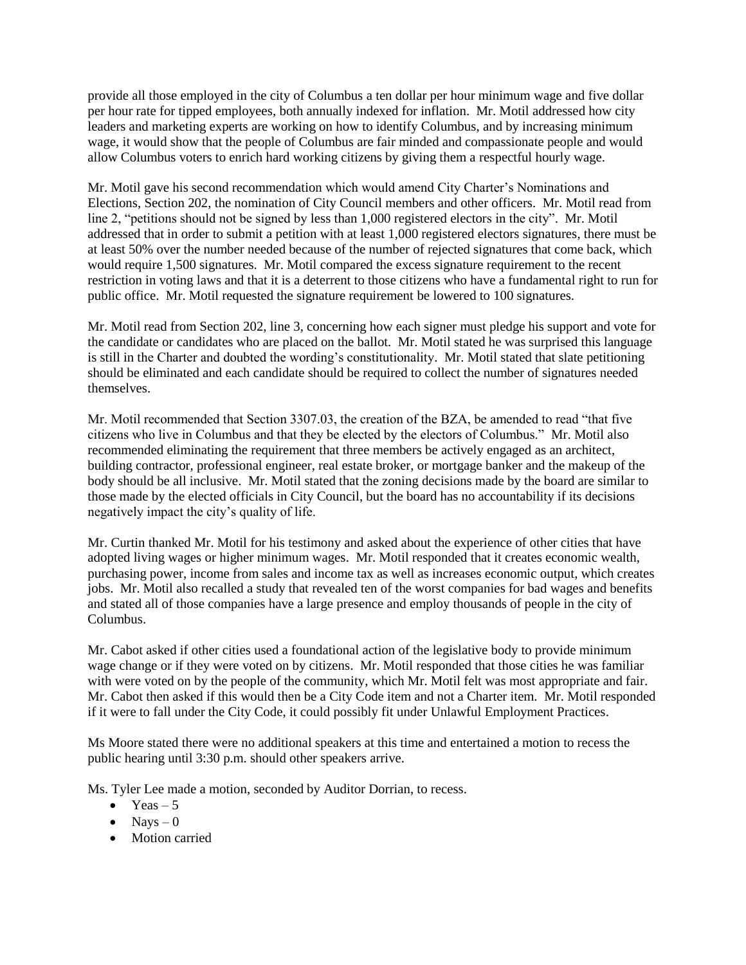provide all those employed in the city of Columbus a ten dollar per hour minimum wage and five dollar per hour rate for tipped employees, both annually indexed for inflation. Mr. Motil addressed how city leaders and marketing experts are working on how to identify Columbus, and by increasing minimum wage, it would show that the people of Columbus are fair minded and compassionate people and would allow Columbus voters to enrich hard working citizens by giving them a respectful hourly wage.

Mr. Motil gave his second recommendation which would amend City Charter's Nominations and Elections, Section 202, the nomination of City Council members and other officers. Mr. Motil read from line 2, "petitions should not be signed by less than 1,000 registered electors in the city". Mr. Motil addressed that in order to submit a petition with at least 1,000 registered electors signatures, there must be at least 50% over the number needed because of the number of rejected signatures that come back, which would require 1,500 signatures. Mr. Motil compared the excess signature requirement to the recent restriction in voting laws and that it is a deterrent to those citizens who have a fundamental right to run for public office. Mr. Motil requested the signature requirement be lowered to 100 signatures.

Mr. Motil read from Section 202, line 3, concerning how each signer must pledge his support and vote for the candidate or candidates who are placed on the ballot. Mr. Motil stated he was surprised this language is still in the Charter and doubted the wording's constitutionality. Mr. Motil stated that slate petitioning should be eliminated and each candidate should be required to collect the number of signatures needed themselves.

Mr. Motil recommended that Section 3307.03, the creation of the BZA, be amended to read "that five citizens who live in Columbus and that they be elected by the electors of Columbus." Mr. Motil also recommended eliminating the requirement that three members be actively engaged as an architect, building contractor, professional engineer, real estate broker, or mortgage banker and the makeup of the body should be all inclusive. Mr. Motil stated that the zoning decisions made by the board are similar to those made by the elected officials in City Council, but the board has no accountability if its decisions negatively impact the city's quality of life.

Mr. Curtin thanked Mr. Motil for his testimony and asked about the experience of other cities that have adopted living wages or higher minimum wages. Mr. Motil responded that it creates economic wealth, purchasing power, income from sales and income tax as well as increases economic output, which creates jobs. Mr. Motil also recalled a study that revealed ten of the worst companies for bad wages and benefits and stated all of those companies have a large presence and employ thousands of people in the city of Columbus.

Mr. Cabot asked if other cities used a foundational action of the legislative body to provide minimum wage change or if they were voted on by citizens. Mr. Motil responded that those cities he was familiar with were voted on by the people of the community, which Mr. Motil felt was most appropriate and fair. Mr. Cabot then asked if this would then be a City Code item and not a Charter item. Mr. Motil responded if it were to fall under the City Code, it could possibly fit under Unlawful Employment Practices.

Ms Moore stated there were no additional speakers at this time and entertained a motion to recess the public hearing until 3:30 p.m. should other speakers arrive.

Ms. Tyler Lee made a motion, seconded by Auditor Dorrian, to recess.

- $\bullet$  Yeas 5
- $\bullet$  Nays  $-0$
- Motion carried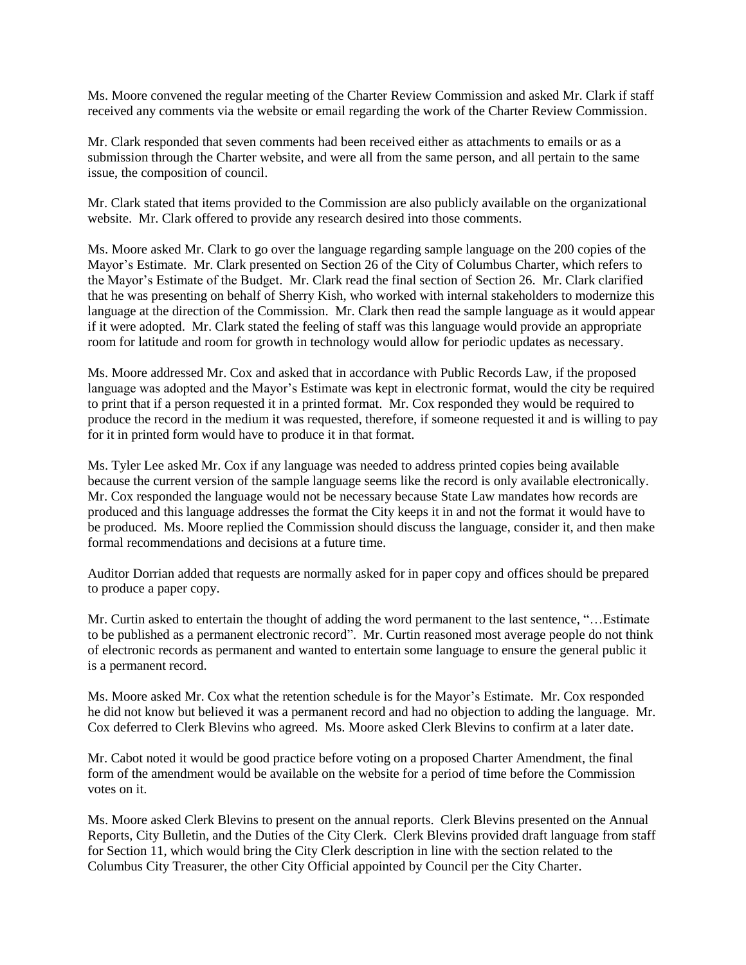Ms. Moore convened the regular meeting of the Charter Review Commission and asked Mr. Clark if staff received any comments via the website or email regarding the work of the Charter Review Commission.

Mr. Clark responded that seven comments had been received either as attachments to emails or as a submission through the Charter website, and were all from the same person, and all pertain to the same issue, the composition of council.

Mr. Clark stated that items provided to the Commission are also publicly available on the organizational website. Mr. Clark offered to provide any research desired into those comments.

Ms. Moore asked Mr. Clark to go over the language regarding sample language on the 200 copies of the Mayor's Estimate. Mr. Clark presented on Section 26 of the City of Columbus Charter, which refers to the Mayor's Estimate of the Budget. Mr. Clark read the final section of Section 26. Mr. Clark clarified that he was presenting on behalf of Sherry Kish, who worked with internal stakeholders to modernize this language at the direction of the Commission. Mr. Clark then read the sample language as it would appear if it were adopted. Mr. Clark stated the feeling of staff was this language would provide an appropriate room for latitude and room for growth in technology would allow for periodic updates as necessary.

Ms. Moore addressed Mr. Cox and asked that in accordance with Public Records Law, if the proposed language was adopted and the Mayor's Estimate was kept in electronic format, would the city be required to print that if a person requested it in a printed format. Mr. Cox responded they would be required to produce the record in the medium it was requested, therefore, if someone requested it and is willing to pay for it in printed form would have to produce it in that format.

Ms. Tyler Lee asked Mr. Cox if any language was needed to address printed copies being available because the current version of the sample language seems like the record is only available electronically. Mr. Cox responded the language would not be necessary because State Law mandates how records are produced and this language addresses the format the City keeps it in and not the format it would have to be produced. Ms. Moore replied the Commission should discuss the language, consider it, and then make formal recommendations and decisions at a future time.

Auditor Dorrian added that requests are normally asked for in paper copy and offices should be prepared to produce a paper copy.

Mr. Curtin asked to entertain the thought of adding the word permanent to the last sentence, "…Estimate to be published as a permanent electronic record". Mr. Curtin reasoned most average people do not think of electronic records as permanent and wanted to entertain some language to ensure the general public it is a permanent record.

Ms. Moore asked Mr. Cox what the retention schedule is for the Mayor's Estimate. Mr. Cox responded he did not know but believed it was a permanent record and had no objection to adding the language. Mr. Cox deferred to Clerk Blevins who agreed. Ms. Moore asked Clerk Blevins to confirm at a later date.

Mr. Cabot noted it would be good practice before voting on a proposed Charter Amendment, the final form of the amendment would be available on the website for a period of time before the Commission votes on it.

Ms. Moore asked Clerk Blevins to present on the annual reports. Clerk Blevins presented on the Annual Reports, City Bulletin, and the Duties of the City Clerk. Clerk Blevins provided draft language from staff for Section 11, which would bring the City Clerk description in line with the section related to the Columbus City Treasurer, the other City Official appointed by Council per the City Charter.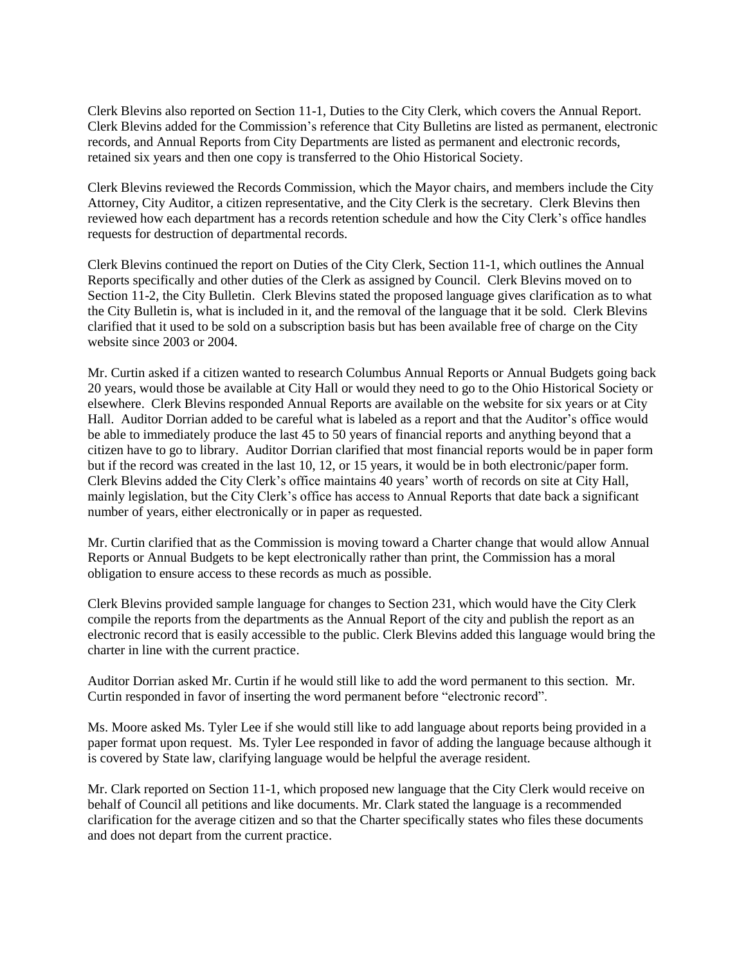Clerk Blevins also reported on Section 11-1, Duties to the City Clerk, which covers the Annual Report. Clerk Blevins added for the Commission's reference that City Bulletins are listed as permanent, electronic records, and Annual Reports from City Departments are listed as permanent and electronic records, retained six years and then one copy is transferred to the Ohio Historical Society.

Clerk Blevins reviewed the Records Commission, which the Mayor chairs, and members include the City Attorney, City Auditor, a citizen representative, and the City Clerk is the secretary. Clerk Blevins then reviewed how each department has a records retention schedule and how the City Clerk's office handles requests for destruction of departmental records.

Clerk Blevins continued the report on Duties of the City Clerk, Section 11-1, which outlines the Annual Reports specifically and other duties of the Clerk as assigned by Council. Clerk Blevins moved on to Section 11-2, the City Bulletin. Clerk Blevins stated the proposed language gives clarification as to what the City Bulletin is, what is included in it, and the removal of the language that it be sold. Clerk Blevins clarified that it used to be sold on a subscription basis but has been available free of charge on the City website since 2003 or 2004.

Mr. Curtin asked if a citizen wanted to research Columbus Annual Reports or Annual Budgets going back 20 years, would those be available at City Hall or would they need to go to the Ohio Historical Society or elsewhere. Clerk Blevins responded Annual Reports are available on the website for six years or at City Hall. Auditor Dorrian added to be careful what is labeled as a report and that the Auditor's office would be able to immediately produce the last 45 to 50 years of financial reports and anything beyond that a citizen have to go to library. Auditor Dorrian clarified that most financial reports would be in paper form but if the record was created in the last 10, 12, or 15 years, it would be in both electronic/paper form. Clerk Blevins added the City Clerk's office maintains 40 years' worth of records on site at City Hall, mainly legislation, but the City Clerk's office has access to Annual Reports that date back a significant number of years, either electronically or in paper as requested.

Mr. Curtin clarified that as the Commission is moving toward a Charter change that would allow Annual Reports or Annual Budgets to be kept electronically rather than print, the Commission has a moral obligation to ensure access to these records as much as possible.

Clerk Blevins provided sample language for changes to Section 231, which would have the City Clerk compile the reports from the departments as the Annual Report of the city and publish the report as an electronic record that is easily accessible to the public. Clerk Blevins added this language would bring the charter in line with the current practice.

Auditor Dorrian asked Mr. Curtin if he would still like to add the word permanent to this section. Mr. Curtin responded in favor of inserting the word permanent before "electronic record".

Ms. Moore asked Ms. Tyler Lee if she would still like to add language about reports being provided in a paper format upon request. Ms. Tyler Lee responded in favor of adding the language because although it is covered by State law, clarifying language would be helpful the average resident.

Mr. Clark reported on Section 11-1, which proposed new language that the City Clerk would receive on behalf of Council all petitions and like documents. Mr. Clark stated the language is a recommended clarification for the average citizen and so that the Charter specifically states who files these documents and does not depart from the current practice.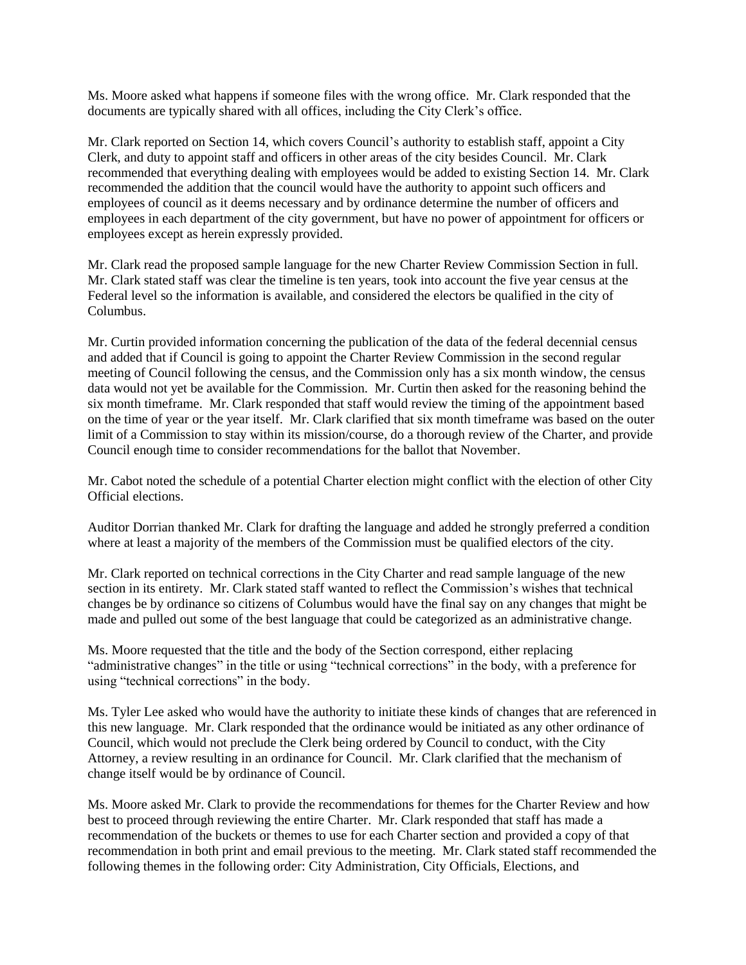Ms. Moore asked what happens if someone files with the wrong office. Mr. Clark responded that the documents are typically shared with all offices, including the City Clerk's office.

Mr. Clark reported on Section 14, which covers Council's authority to establish staff, appoint a City Clerk, and duty to appoint staff and officers in other areas of the city besides Council. Mr. Clark recommended that everything dealing with employees would be added to existing Section 14. Mr. Clark recommended the addition that the council would have the authority to appoint such officers and employees of council as it deems necessary and by ordinance determine the number of officers and employees in each department of the city government, but have no power of appointment for officers or employees except as herein expressly provided.

Mr. Clark read the proposed sample language for the new Charter Review Commission Section in full. Mr. Clark stated staff was clear the timeline is ten years, took into account the five year census at the Federal level so the information is available, and considered the electors be qualified in the city of Columbus.

Mr. Curtin provided information concerning the publication of the data of the federal decennial census and added that if Council is going to appoint the Charter Review Commission in the second regular meeting of Council following the census, and the Commission only has a six month window, the census data would not yet be available for the Commission. Mr. Curtin then asked for the reasoning behind the six month timeframe. Mr. Clark responded that staff would review the timing of the appointment based on the time of year or the year itself. Mr. Clark clarified that six month timeframe was based on the outer limit of a Commission to stay within its mission/course, do a thorough review of the Charter, and provide Council enough time to consider recommendations for the ballot that November.

Mr. Cabot noted the schedule of a potential Charter election might conflict with the election of other City Official elections.

Auditor Dorrian thanked Mr. Clark for drafting the language and added he strongly preferred a condition where at least a majority of the members of the Commission must be qualified electors of the city.

Mr. Clark reported on technical corrections in the City Charter and read sample language of the new section in its entirety. Mr. Clark stated staff wanted to reflect the Commission's wishes that technical changes be by ordinance so citizens of Columbus would have the final say on any changes that might be made and pulled out some of the best language that could be categorized as an administrative change.

Ms. Moore requested that the title and the body of the Section correspond, either replacing "administrative changes" in the title or using "technical corrections" in the body, with a preference for using "technical corrections" in the body.

Ms. Tyler Lee asked who would have the authority to initiate these kinds of changes that are referenced in this new language. Mr. Clark responded that the ordinance would be initiated as any other ordinance of Council, which would not preclude the Clerk being ordered by Council to conduct, with the City Attorney, a review resulting in an ordinance for Council. Mr. Clark clarified that the mechanism of change itself would be by ordinance of Council.

Ms. Moore asked Mr. Clark to provide the recommendations for themes for the Charter Review and how best to proceed through reviewing the entire Charter. Mr. Clark responded that staff has made a recommendation of the buckets or themes to use for each Charter section and provided a copy of that recommendation in both print and email previous to the meeting. Mr. Clark stated staff recommended the following themes in the following order: City Administration, City Officials, Elections, and